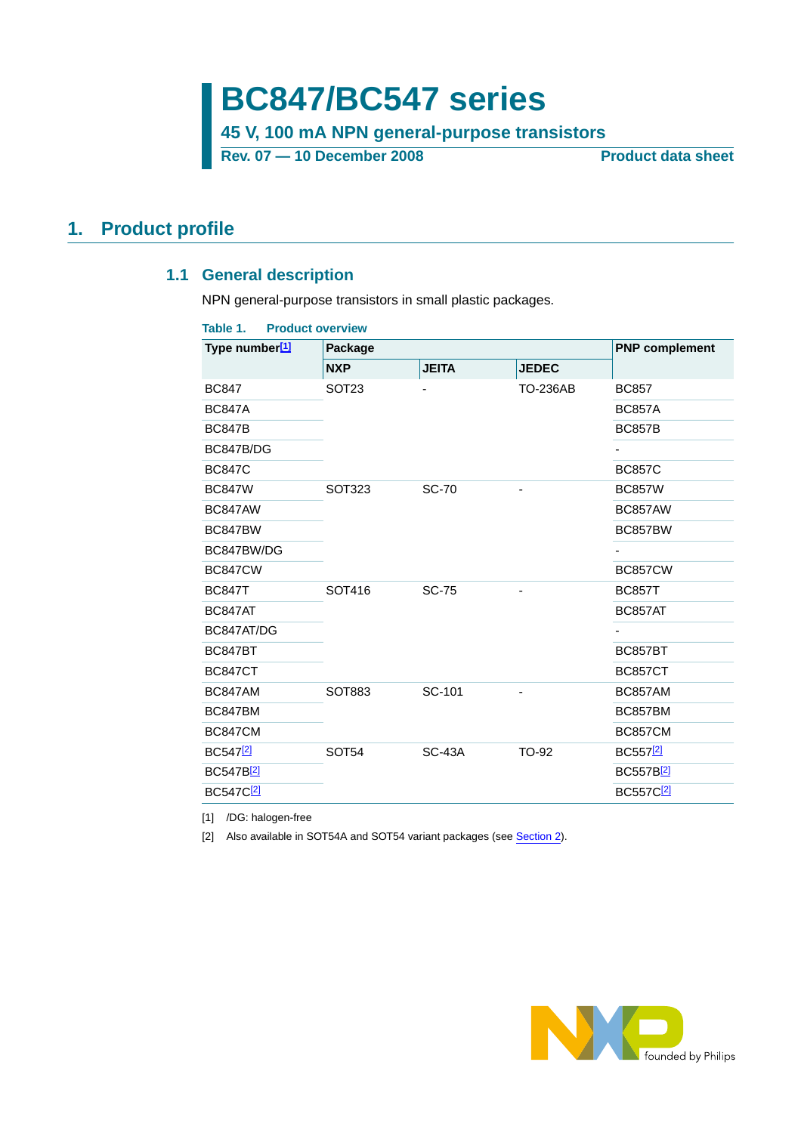**BC847/BC547 series**

**45 V, 100 mA NPN general-purpose transistors**

Rev. 07 — 10 December 2008 **Product data sheet** 

### <span id="page-0-4"></span><span id="page-0-3"></span>**1. Product profile**

### **1.1 General description**

NPN general-purpose transistors in small plastic packages.

#### <span id="page-0-2"></span>**Table 1. Product overview**

| Type number <sup>[1]</sup> | Package           | <b>PNP complement</b> |                 |                       |
|----------------------------|-------------------|-----------------------|-----------------|-----------------------|
|                            | <b>NXP</b>        | <b>JEITA</b>          | <b>JEDEC</b>    |                       |
| <b>BC847</b>               | SOT <sub>23</sub> |                       | <b>TO-236AB</b> | <b>BC857</b>          |
| <b>BC847A</b>              |                   |                       |                 | <b>BC857A</b>         |
| <b>BC847B</b>              |                   |                       |                 | <b>BC857B</b>         |
| BC847B/DG                  |                   |                       |                 |                       |
| <b>BC847C</b>              |                   |                       |                 | <b>BC857C</b>         |
| <b>BC847W</b>              | SOT323            | <b>SC-70</b>          |                 | <b>BC857W</b>         |
| BC847AW                    |                   |                       |                 | BC857AW               |
| BC847BW                    |                   |                       |                 | BC857BW               |
| BC847BW/DG                 |                   |                       |                 |                       |
| <b>BC847CW</b>             |                   |                       |                 | <b>BC857CW</b>        |
| <b>BC847T</b>              | SOT416            | <b>SC-75</b>          |                 | <b>BC857T</b>         |
| BC847AT                    |                   |                       |                 | BC857AT               |
| BC847AT/DG                 |                   |                       |                 |                       |
| <b>BC847BT</b>             |                   |                       |                 | <b>BC857BT</b>        |
| <b>BC847CT</b>             |                   |                       |                 | <b>BC857CT</b>        |
| BC847AM                    | SOT883            | SC-101                |                 | <b>BC857AM</b>        |
| BC847BM                    |                   |                       |                 | BC857BM               |
| <b>BC847CM</b>             |                   |                       |                 | <b>BC857CM</b>        |
| BC547 <sup>[2]</sup>       | SOT <sub>54</sub> | <b>SC-43A</b>         | TO-92           | BC557 <sup>[2]</sup>  |
| BC547B <sup>[2]</sup>      |                   |                       |                 | BC557B2               |
| BC547C <sup>[2]</sup>      |                   |                       |                 | BC557C <sup>[2]</sup> |

<span id="page-0-0"></span>[1] /DG: halogen-free

<span id="page-0-1"></span>[2] Also available in SOT54A and SOT54 variant packages (see [Section](#page-1-0) 2).

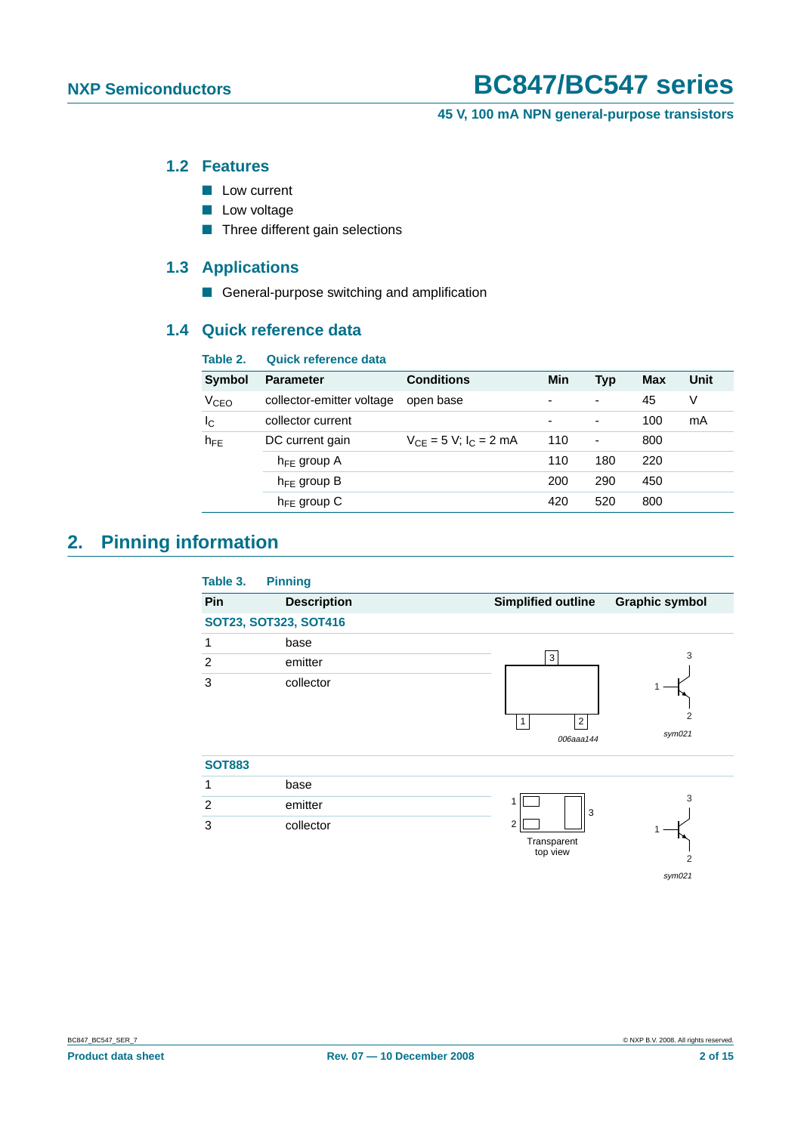**45 V, 100 mA NPN general-purpose transistors**

#### <span id="page-1-1"></span>**1.2 Features**

- Low current
- Low voltage
- Three different gain selections

### <span id="page-1-2"></span>**1.3 Applications**

■ General-purpose switching and amplification

### <span id="page-1-3"></span>**1.4 Quick reference data**

| Table 2.               | <b>Quick reference data</b> |                               |     |                          |     |      |
|------------------------|-----------------------------|-------------------------------|-----|--------------------------|-----|------|
| <b>Symbol</b>          | <b>Parameter</b>            | <b>Conditions</b>             | Min | Typ                      | Max | Unit |
| <b>V<sub>CEO</sub></b> | collector-emitter voltage   | open base                     |     | $\overline{\phantom{a}}$ | 45  | V    |
| Ιc                     | collector current           |                               | ۰   | $\overline{\phantom{a}}$ | 100 | mA   |
| $h_{FE}$               | DC current gain             | $V_{CF} = 5 V$ ; $I_C = 2 mA$ | 110 | $\blacksquare$           | 800 |      |
|                        | $h_{FF}$ group A            |                               | 110 | 180                      | 220 |      |
|                        | $h_{FE}$ group B            |                               | 200 | 290                      | 450 |      |
|                        | $h_{FE}$ group C            |                               | 420 | 520                      | 800 |      |

# <span id="page-1-0"></span>**2. Pinning information**

| Table 3.       | <b>Pinning</b>        |                                                                       |  |
|----------------|-----------------------|-----------------------------------------------------------------------|--|
| Pin            | <b>Description</b>    | <b>Simplified outline</b><br><b>Graphic symbol</b>                    |  |
|                | SOT23, SOT323, SOT416 |                                                                       |  |
| 1              | base                  |                                                                       |  |
| 2              | emitter               | 3<br>3                                                                |  |
| 3              | collector             | 2<br>$\overline{2}$<br>$\mathbf{1}$<br>sym021<br>006aaa144            |  |
| <b>SOT883</b>  |                       |                                                                       |  |
| 1              | base                  |                                                                       |  |
| 2              | emitter               | 3<br>1<br>3                                                           |  |
| 3<br>collector |                       | $\overline{2}$<br>Transparent<br>top view<br>$\overline{2}$<br>sym021 |  |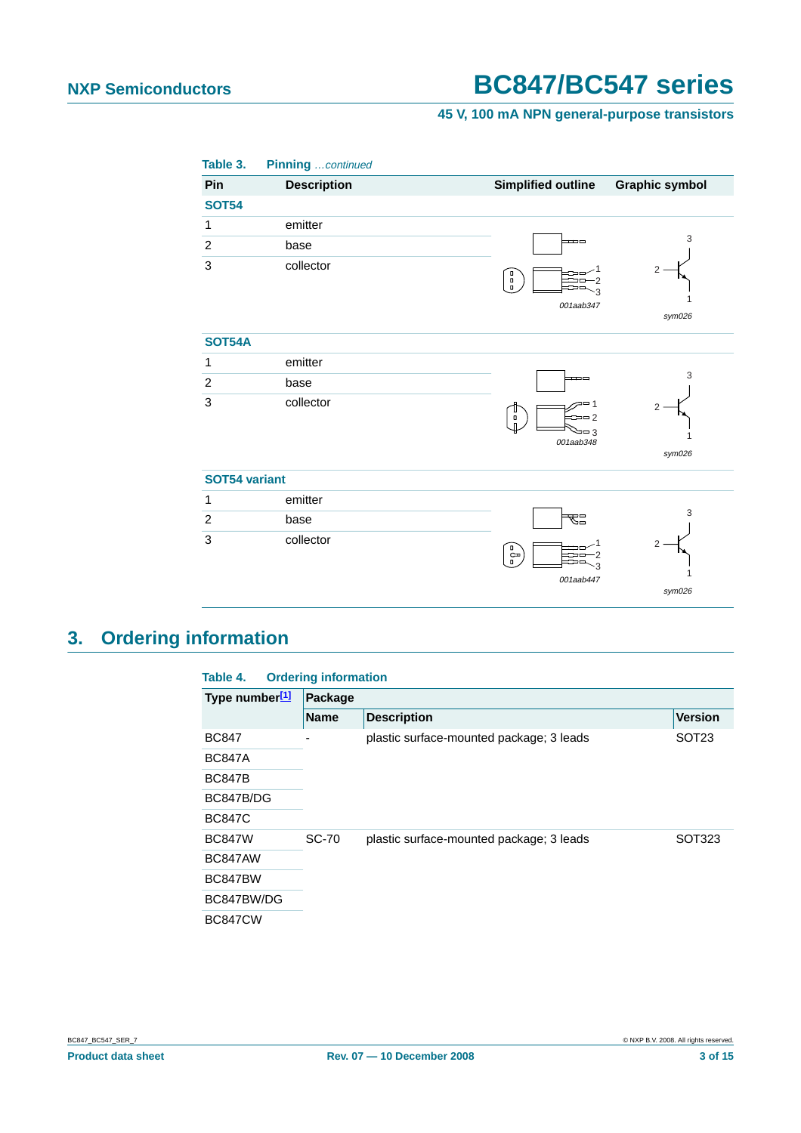### **45 V, 100 mA NPN general-purpose transistors**

| Table 3.                  | Pinning  continued |                                                                  |                       |
|---------------------------|--------------------|------------------------------------------------------------------|-----------------------|
| Pin                       | <b>Description</b> | <b>Simplified outline</b>                                        | <b>Graphic symbol</b> |
| <b>SOT54</b>              |                    |                                                                  |                       |
| 1                         | emitter            |                                                                  |                       |
| $\sqrt{2}$                | base               |                                                                  | 3                     |
| 3                         | collector          | e<br>B<br>3<br>001aab347                                         | 2<br>sym026           |
| <b>SOT54A</b>             |                    |                                                                  |                       |
| $\mathbf 1$               | emitter            |                                                                  |                       |
| $\overline{c}$            | base               | ᆍ                                                                | 3                     |
| $\ensuremath{\mathsf{3}}$ | collector          | 20 1<br>$=$ $-2$<br>$\Box$<br>$\mathsf{n}$<br>$=$ 3<br>001aab348 | 2<br>1<br>sym026      |
| SOT54 variant             |                    |                                                                  |                       |
| $\mathbf{1}$              | emitter            |                                                                  |                       |
| $\overline{c}$            | base               | 品                                                                | 3                     |
| $\mathbf{3}$              | collector          | $\epsilon_{\rm b}$<br>3<br>001aab447                             | 2<br>sym026           |

# <span id="page-2-1"></span>**3. Ordering information**

<span id="page-2-0"></span>

| Table 4.                   | <b>Ordering information</b> |                                          |                   |  |  |
|----------------------------|-----------------------------|------------------------------------------|-------------------|--|--|
| Type number <sup>[1]</sup> | Package                     |                                          |                   |  |  |
|                            | <b>Name</b>                 | <b>Description</b>                       | <b>Version</b>    |  |  |
| <b>BC847</b>               |                             | plastic surface-mounted package; 3 leads | SOT <sub>23</sub> |  |  |
| <b>BC847A</b>              |                             |                                          |                   |  |  |
| <b>BC847B</b>              |                             |                                          |                   |  |  |
| BC847B/DG                  |                             |                                          |                   |  |  |
| <b>BC847C</b>              |                             |                                          |                   |  |  |
| <b>BC847W</b>              | <b>SC-70</b>                | plastic surface-mounted package; 3 leads | SOT323            |  |  |
| BC847AW                    |                             |                                          |                   |  |  |
| BC847BW                    |                             |                                          |                   |  |  |
| BC847BW/DG                 |                             |                                          |                   |  |  |
| <b>BC847CW</b>             |                             |                                          |                   |  |  |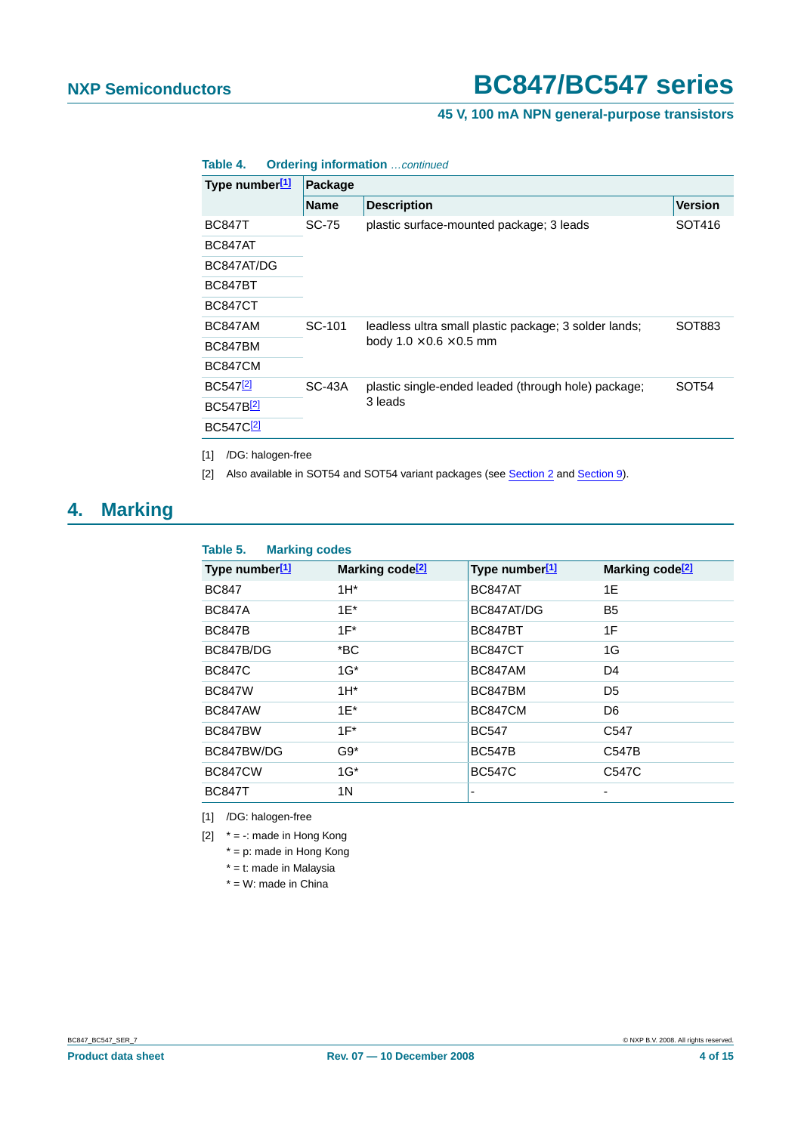#### **45 V, 100 mA NPN general-purpose transistors**

| Type number[1]        | Package     |                                                                                              |                   |  |  |  |
|-----------------------|-------------|----------------------------------------------------------------------------------------------|-------------------|--|--|--|
|                       | <b>Name</b> | <b>Description</b>                                                                           | <b>Version</b>    |  |  |  |
| <b>BC847T</b>         | SC-75       | plastic surface-mounted package; 3 leads                                                     | SOT416            |  |  |  |
| BC847AT               |             |                                                                                              |                   |  |  |  |
| BC847AT/DG            |             |                                                                                              |                   |  |  |  |
| <b>BC847BT</b>        |             |                                                                                              |                   |  |  |  |
| <b>BC847CT</b>        |             |                                                                                              |                   |  |  |  |
| BC847AM               | SC-101      | leadless ultra small plastic package; 3 solder lands;<br>body $1.0 \times 0.6 \times 0.5$ mm | SOT883            |  |  |  |
| BC847BM               |             |                                                                                              |                   |  |  |  |
| <b>BC847CM</b>        |             |                                                                                              |                   |  |  |  |
| BC547 <sup>[2]</sup>  | $SC-43A$    | plastic single-ended leaded (through hole) package;                                          | SOT <sub>54</sub> |  |  |  |
| BC547B <sup>[2]</sup> |             | 3 leads                                                                                      |                   |  |  |  |
| BC547C <sup>[2]</sup> |             |                                                                                              |                   |  |  |  |

**Table 4. Ordering information** …continued

<span id="page-3-0"></span>[1] /DG: halogen-free

<span id="page-3-1"></span>[2] Also available in SOT54 and SOT54 variant packages (see [Section](#page-10-0) 2 and Section 9).

# <span id="page-3-5"></span>**4. Marking**

#### <span id="page-3-4"></span>**Table 5. Marking codes**

| Type number <sup>[1]</sup> | Marking code <sup>[2]</sup> | Type number <sup>[1]</sup> | Marking code <sup>[2]</sup> |
|----------------------------|-----------------------------|----------------------------|-----------------------------|
| <b>BC847</b>               | $1H^*$                      | BC847AT                    | 1E                          |
| <b>BC847A</b>              | $1E^*$                      | BC847AT/DG                 | <b>B5</b>                   |
| <b>BC847B</b>              | $1F^*$                      | <b>BC847BT</b>             | 1F                          |
| BC847B/DG                  | $*BC$                       | <b>BC847CT</b>             | 1G                          |
| <b>BC847C</b>              | $1G^*$                      | BC847AM                    | D <sub>4</sub>              |
| <b>BC847W</b>              | $1H^*$                      | BC847BM                    | D <sub>5</sub>              |
| BC847AW                    | $1E^*$                      | <b>BC847CM</b>             | D <sub>6</sub>              |
| BC847BW                    | $1F^*$                      | <b>BC547</b>               | C <sub>547</sub>            |
| BC847BW/DG                 | $G9*$                       | <b>BC547B</b>              | C547B                       |
| <b>BC847CW</b>             | $1G^*$                      | <b>BC547C</b>              | C547C                       |
| <b>BC847T</b>              | 1 N                         |                            |                             |
|                            |                             |                            |                             |

<span id="page-3-2"></span>[1] /DG: halogen-free

<span id="page-3-3"></span>[2]  $* = -$ : made in Hong Kong

- \* = p: made in Hong Kong
- \* = t: made in Malaysia

 $*$  = W: made in China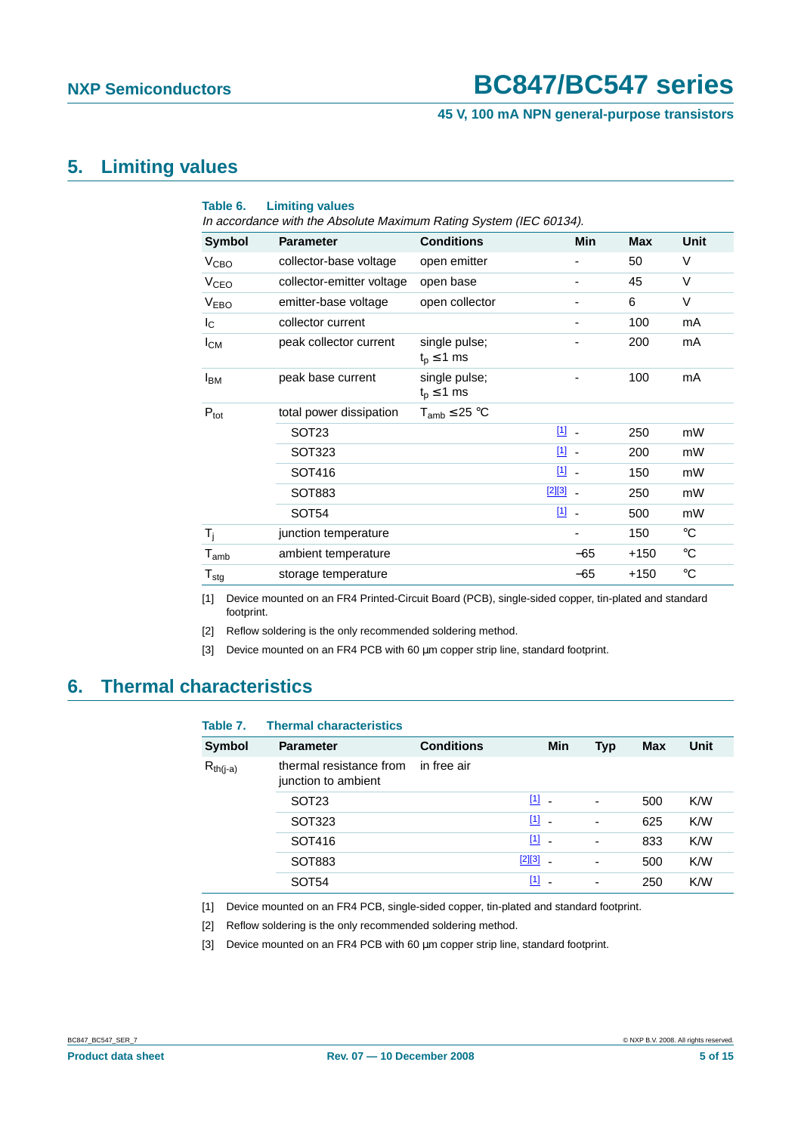#### **45 V, 100 mA NPN general-purpose transistors**

### <span id="page-4-7"></span>**5. Limiting values**

<span id="page-4-6"></span>

| <b>Limiting values</b><br>Table 6.<br>In accordance with the Absolute Maximum Rating System (IEC 60134). |                           |                                    |                                         |            |             |
|----------------------------------------------------------------------------------------------------------|---------------------------|------------------------------------|-----------------------------------------|------------|-------------|
| <b>Symbol</b>                                                                                            | <b>Parameter</b>          | <b>Conditions</b>                  | <b>Min</b>                              | <b>Max</b> | Unit        |
| V <sub>CBO</sub>                                                                                         | collector-base voltage    | open emitter                       | -                                       | 50         | V           |
| <b>V<sub>CEO</sub></b>                                                                                   | collector-emitter voltage | open base                          |                                         | 45         | $\vee$      |
| <b>VEBO</b>                                                                                              | emitter-base voltage      | open collector                     |                                         | 6          | $\vee$      |
| $I_{\rm C}$                                                                                              | collector current         |                                    |                                         | 100        | mA          |
| $I_{CM}$                                                                                                 | peak collector current    | single pulse;<br>$t_{p} \leq 1$ ms |                                         | 200        | mA          |
| <b>I</b> <sub>BM</sub>                                                                                   | peak base current         | single pulse;<br>$t_p \leq 1$ ms   |                                         | 100        | mA          |
| $P_{\text{tot}}$                                                                                         | total power dissipation   | $T_{amb} \leq 25 °C$               |                                         |            |             |
|                                                                                                          | SOT <sub>23</sub>         |                                    | $\boxed{1}$ .                           | 250        | mW          |
|                                                                                                          | SOT323                    |                                    | $11$ .                                  | 200        | mW          |
|                                                                                                          | SOT416                    |                                    | $11$ .                                  | 150        | mW          |
|                                                                                                          | SOT883                    |                                    | $[2][3]$ $-$                            | 250        | mW          |
|                                                                                                          | SOT <sub>54</sub>         |                                    | $\boxed{1}$<br>$\overline{\phantom{a}}$ | 500        | mW          |
| $T_i$                                                                                                    | junction temperature      |                                    |                                         | 150        | $^{\circ}C$ |
| $T_{amb}$                                                                                                | ambient temperature       |                                    | $-65$                                   | $+150$     | $^{\circ}C$ |
| ${\mathsf T}_{\textsf{stg}}$                                                                             | storage temperature       |                                    | $-65$                                   | $+150$     | $^{\circ}C$ |

<span id="page-4-0"></span>[1] Device mounted on an FR4 Printed-Circuit Board (PCB), single-sided copper, tin-plated and standard footprint.

<span id="page-4-1"></span>[2] Reflow soldering is the only recommended soldering method.

<span id="page-4-2"></span>[3] Device mounted on an FR4 PCB with 60 µm copper strip line, standard footprint.

### <span id="page-4-8"></span>**6. Thermal characteristics**

| Table 7.      | <b>Thermal characteristics</b>                 |                   |                                     |                          |            |      |
|---------------|------------------------------------------------|-------------------|-------------------------------------|--------------------------|------------|------|
| <b>Symbol</b> | <b>Parameter</b>                               | <b>Conditions</b> | Min                                 | Typ                      | <b>Max</b> | Unit |
| $R_{th(i-a)}$ | thermal resistance from<br>junction to ambient | in free air       |                                     |                          |            |      |
|               | SOT <sub>23</sub>                              |                   | $\begin{bmatrix} 1 \end{bmatrix}$ . | $\overline{\phantom{0}}$ | 500        | K/W  |
|               | SOT323                                         |                   | $\begin{bmatrix} 1 \end{bmatrix}$   | $\overline{\phantom{0}}$ | 625        | K/W  |
|               | SOT416                                         |                   | $\begin{bmatrix} 1 \end{bmatrix}$ . | $\overline{\phantom{0}}$ | 833        | K/W  |
|               | SOT883                                         |                   | $[2][3]$<br>$\blacksquare$          | $\overline{\phantom{0}}$ | 500        | K/W  |
|               | SOT <sub>54</sub>                              |                   | $[1]$                               | ٠                        | 250        | K/W  |

<span id="page-4-3"></span>[1] Device mounted on an FR4 PCB, single-sided copper, tin-plated and standard footprint.

<span id="page-4-4"></span>[2] Reflow soldering is the only recommended soldering method.

<span id="page-4-5"></span>[3] Device mounted on an FR4 PCB with 60 µm copper strip line, standard footprint.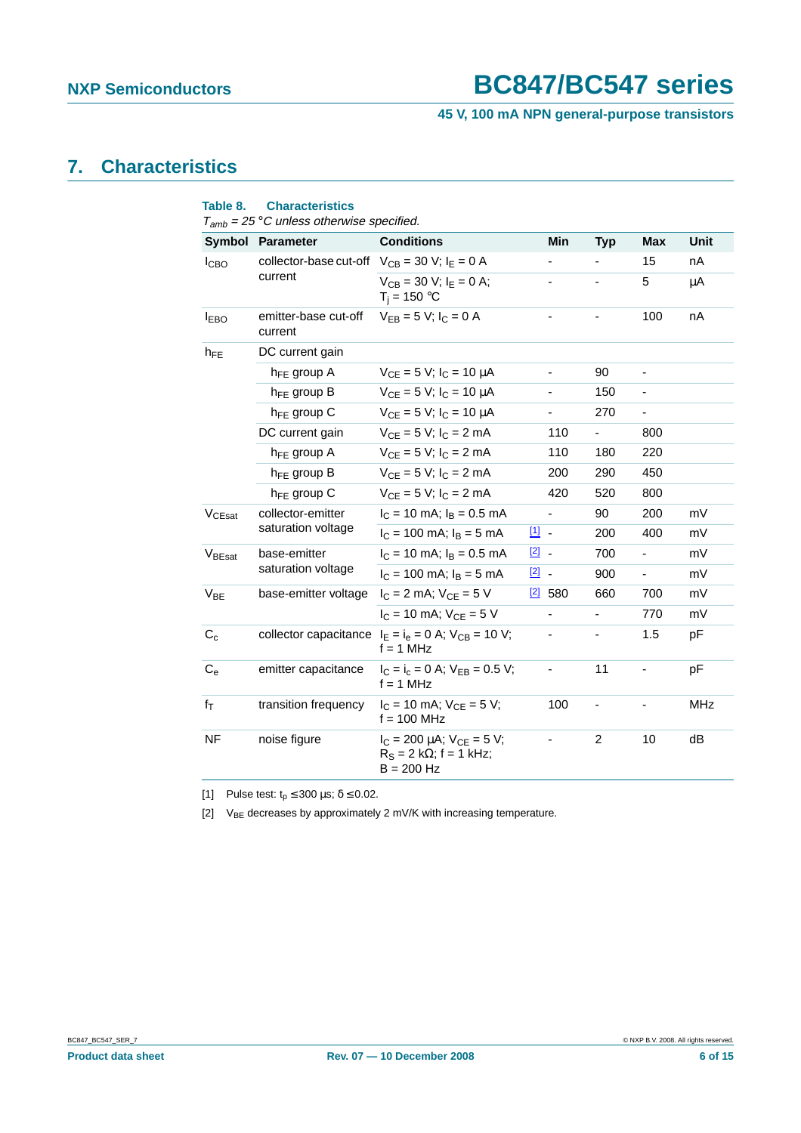**45 V, 100 mA NPN general-purpose transistors**

# <span id="page-5-3"></span>**7. Characteristics**

<span id="page-5-2"></span>

| Table 8.                | <b>Characteristics</b><br>$T_{amb}$ = 25 °C unless otherwise specified. |                                                                                        |               |                |                          |                          |             |
|-------------------------|-------------------------------------------------------------------------|----------------------------------------------------------------------------------------|---------------|----------------|--------------------------|--------------------------|-------------|
|                         | Symbol Parameter                                                        | <b>Conditions</b>                                                                      |               | Min            | <b>Typ</b>               | <b>Max</b>               | <b>Unit</b> |
| <b>I</b> CBO            | collector-base cut-off $V_{CB} = 30$ V; $I_E = 0$ A                     |                                                                                        |               |                |                          | 15                       | nA          |
|                         | current                                                                 | $V_{CB} = 30 V$ ; $I_F = 0 A$ ;<br>$T_j = 150 °C$                                      |               |                | $\overline{\phantom{a}}$ | 5                        | μA          |
| <b>I</b> <sub>EBO</sub> | emitter-base cut-off<br>current                                         | $V_{FB} = 5 V$ ; $I_C = 0 A$                                                           |               |                |                          | 100                      | nA          |
| $h_{FE}$                | DC current gain                                                         |                                                                                        |               |                |                          |                          |             |
|                         | $h_{FE}$ group A                                                        | $V_{CF} = 5 V$ ; $I_C = 10 \mu A$                                                      |               | -              | 90                       | -                        |             |
|                         | $h_{FE}$ group B                                                        | $V_{CF} = 5 V$ ; $I_C = 10 \mu A$                                                      |               |                | 150                      |                          |             |
|                         | $h_{FE}$ group C                                                        | $V_{CE} = 5 V$ ; $I_C = 10 \mu A$                                                      |               | ÷,             | 270                      | $\blacksquare$           |             |
|                         | DC current gain                                                         | $V_{CE} = 5 V$ ; $I_C = 2 mA$                                                          |               | 110            | $\overline{\phantom{a}}$ | 800                      |             |
|                         | $h_{FE}$ group A                                                        | $V_{CF} = 5 V$ ; $I_C = 2 mA$                                                          |               | 110            | 180                      | 220                      |             |
|                         | $h_{FE}$ group B                                                        | $V_{CF} = 5 V$ ; $I_C = 2 mA$                                                          |               | 200            | 290                      | 450                      |             |
|                         | $h_{FE}$ group C                                                        | $V_{CE} = 5 V$ ; $I_C = 2 mA$                                                          |               | 420            | 520                      | 800                      |             |
| V <sub>CEsat</sub>      | collector-emitter                                                       | $I_C = 10$ mA; $I_B = 0.5$ mA                                                          |               | $\blacksquare$ | 90                       | 200                      | mV          |
|                         | saturation voltage                                                      | $I_C = 100$ mA; $I_B = 5$ mA                                                           | $\boxed{1}$   |                | 200                      | 400                      | mV          |
| V <sub>BEsat</sub>      | base-emitter                                                            | $I_C = 10$ mA; $I_B = 0.5$ mA                                                          | $\boxed{2}$ . |                | 700                      | $\overline{\phantom{0}}$ | mV          |
|                         | saturation voltage                                                      | $I_C = 100$ mA; $I_B = 5$ mA                                                           | $\boxed{2}$ . |                | 900                      | Ξ.                       | mV          |
| $V_{BE}$                | base-emitter voltage                                                    | $I_C = 2$ mA; $V_{CE} = 5$ V                                                           |               | $[2]$ 580      | 660                      | 700                      | mV          |
|                         |                                                                         | $I_C = 10$ mA; $V_{CF} = 5$ V                                                          |               | $\blacksquare$ | $\blacksquare$           | 770                      | mV          |
| $C_c$                   |                                                                         | collector capacitance $I_E = I_e = 0$ A; $V_{CB} = 10$ V;<br>$f = 1$ MHz               |               |                | $\overline{\phantom{a}}$ | 1.5                      | рF          |
| $C_{\rm e}$             | emitter capacitance                                                     | $I_C = I_c = 0$ A; $V_{EB} = 0.5$ V;<br>$f = 1$ MHz                                    |               |                | 11                       | $\overline{\phantom{0}}$ | pF          |
| $f_T$                   | transition frequency                                                    | $I_C = 10$ mA; $V_{CE} = 5$ V;<br>$f = 100$ MHz                                        |               | 100            | $\overline{\phantom{0}}$ |                          | <b>MHz</b>  |
| <b>NF</b>               | noise figure                                                            | $I_C = 200 \mu A$ ; $V_{CE} = 5 V$ ;<br>$R_S = 2 k\Omega$ ; f = 1 kHz;<br>$B = 200$ Hz |               |                | $\overline{c}$           | 10                       | dB          |

<span id="page-5-0"></span>[1] Pulse test:  $t_p \le 300 \text{ }\mu\text{s}; \delta \le 0.02$ .

<span id="page-5-1"></span>[2]  $V_{BE}$  decreases by approximately 2 mV/K with increasing temperature.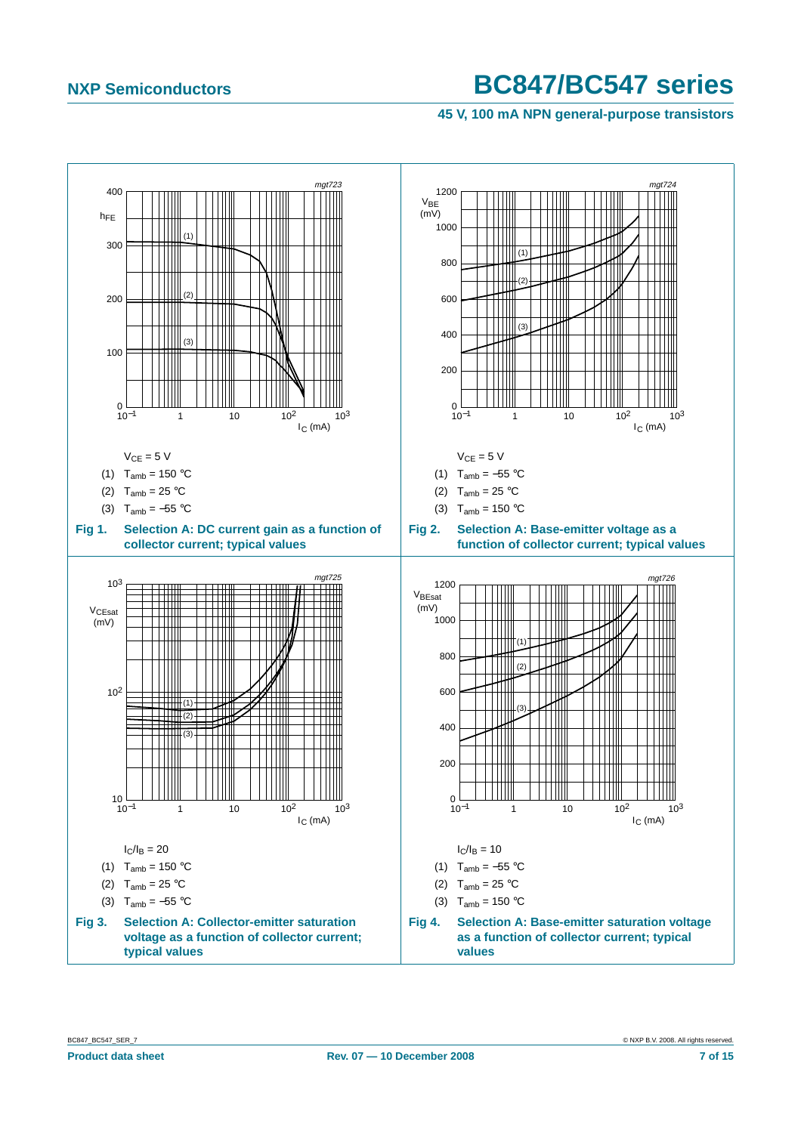**45 V, 100 mA NPN general-purpose transistors**

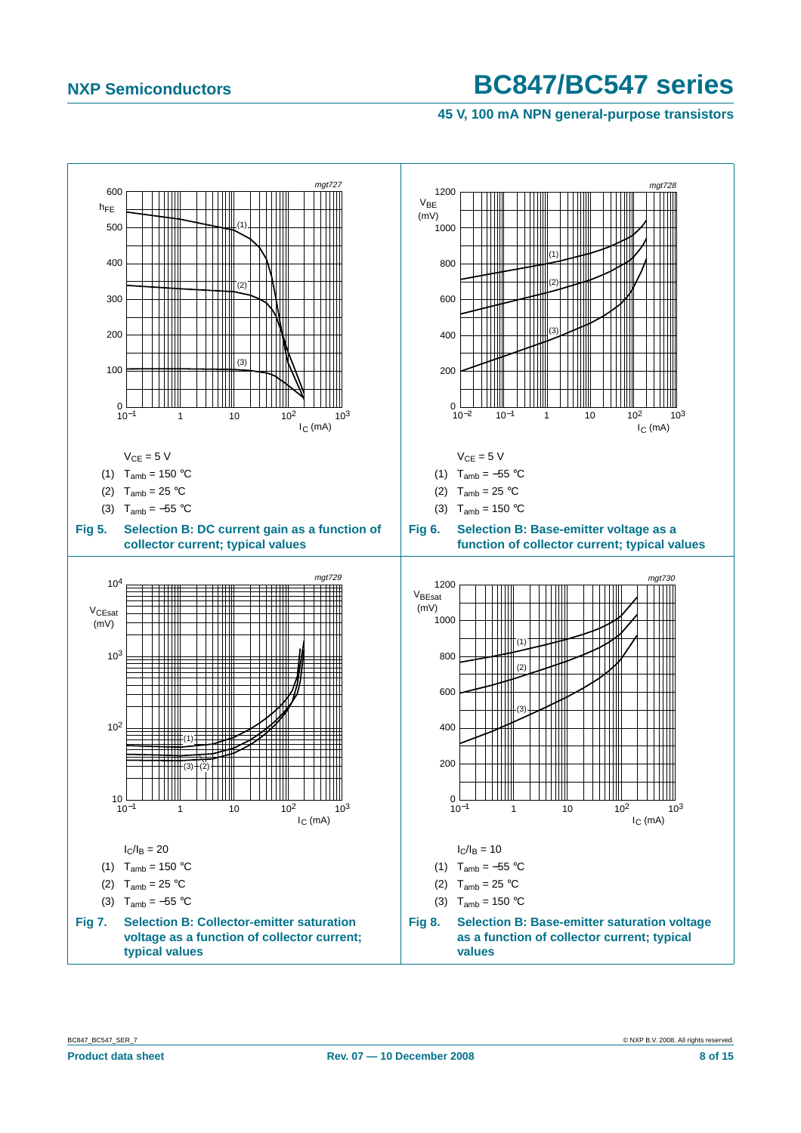**45 V, 100 mA NPN general-purpose transistors**

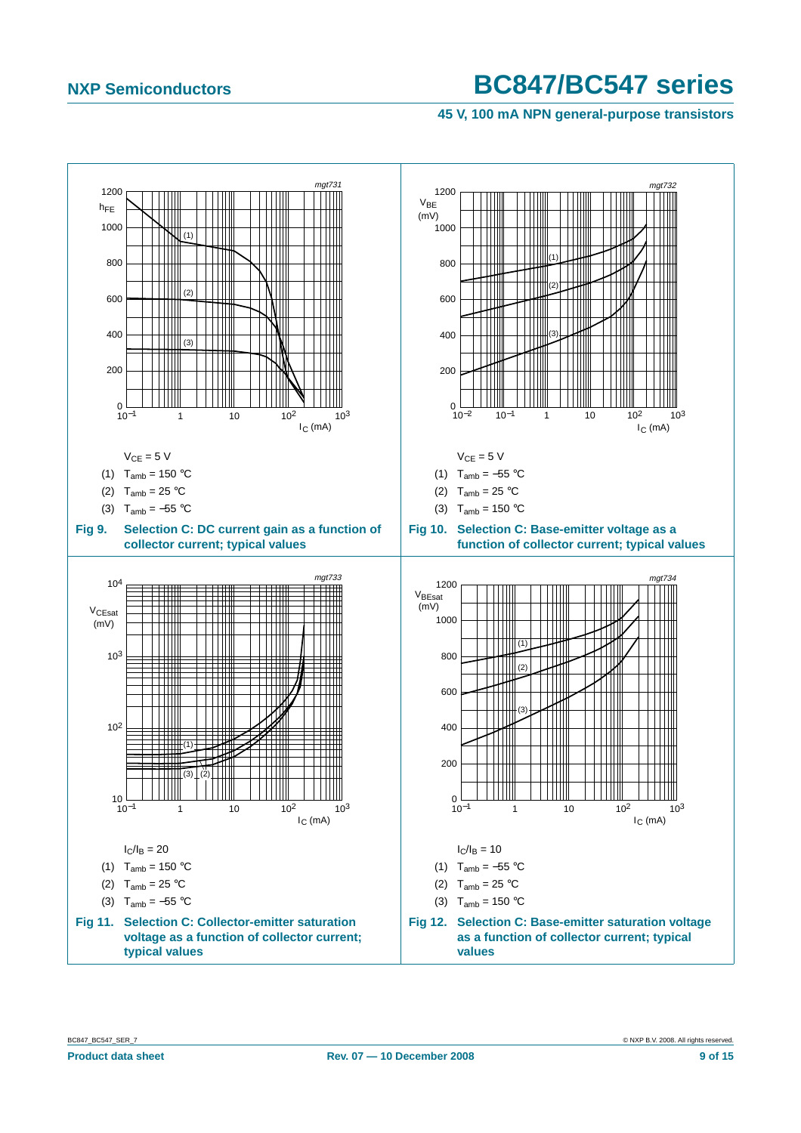**45 V, 100 mA NPN general-purpose transistors**

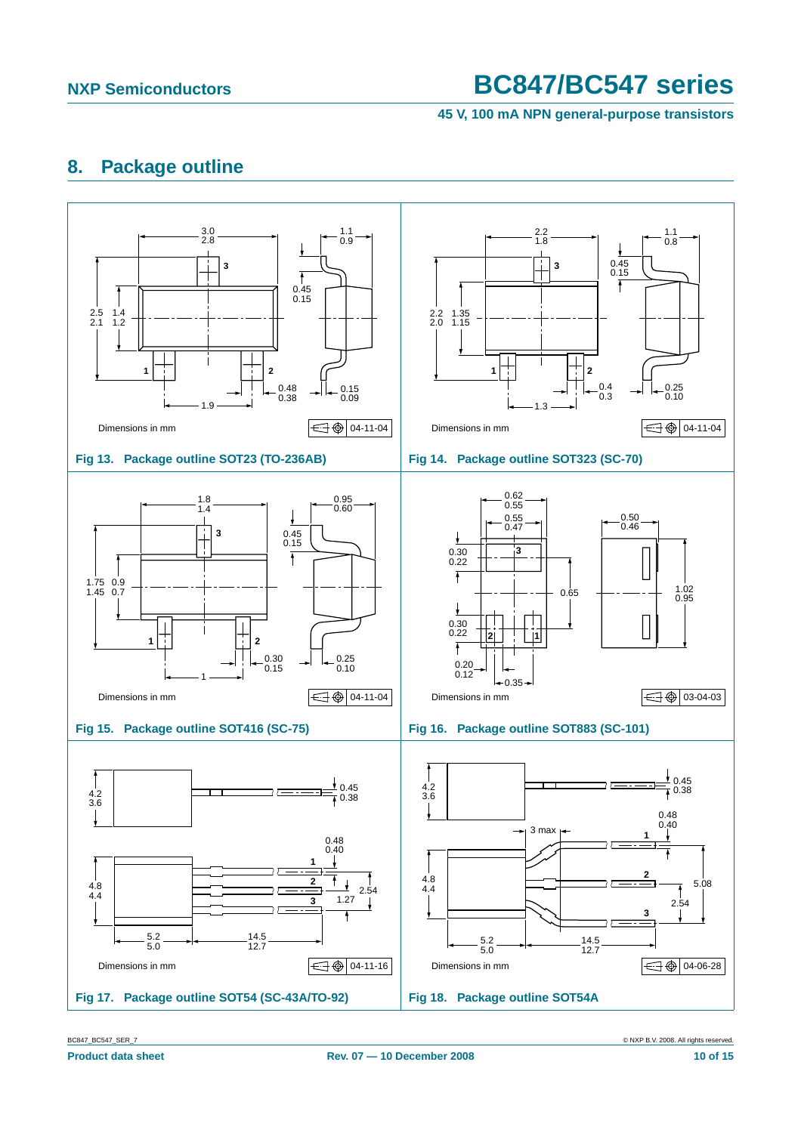**45 V, 100 mA NPN general-purpose transistors**

# <span id="page-9-0"></span>**8. Package outline**



BC847\_BC547\_SER\_7 © NXP B.V. 2008. All rights reserved.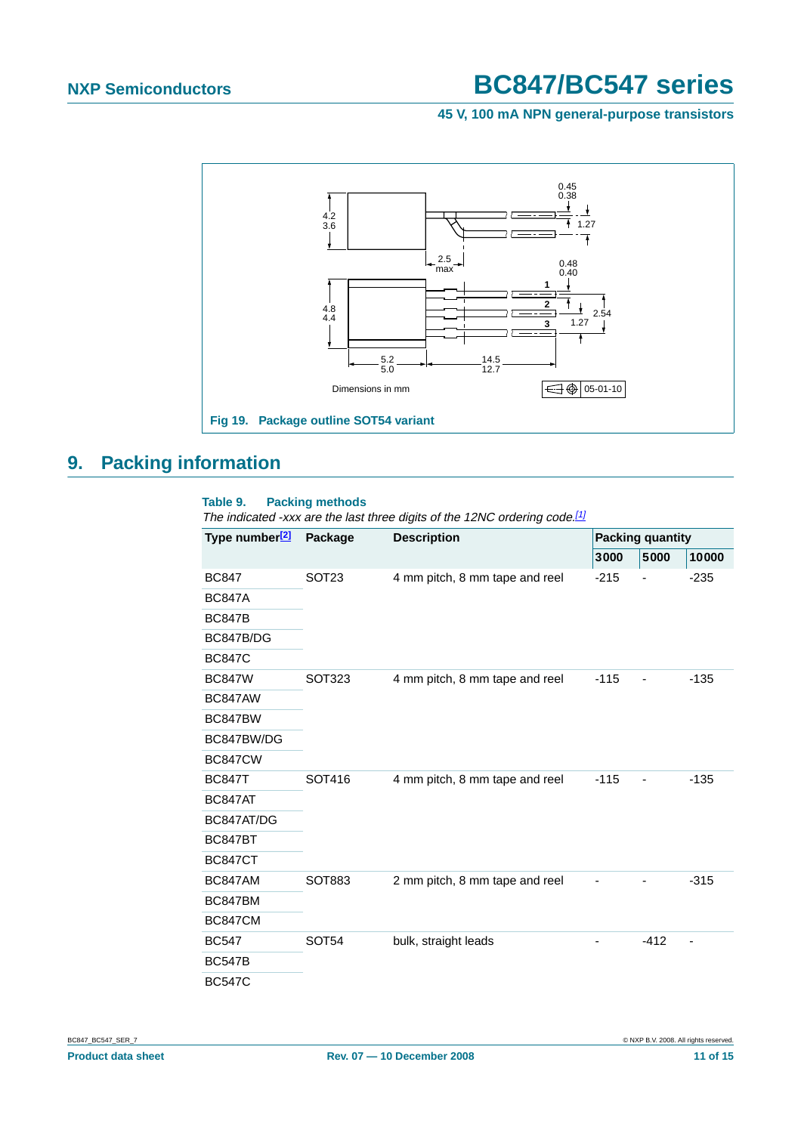**45 V, 100 mA NPN general-purpose transistors**



### <span id="page-10-0"></span>**9. Packing information**

#### <span id="page-10-1"></span>**Table 9. Packing methods**

The indicated -xxx are the last three digits of the 12NC ordering code.<sup>[\[1\]](#page-11-0)</sup>

| Type number <sup>[2]</sup> | Package           | <b>Description</b>             | <b>Packing quantity</b> |        |        |  |
|----------------------------|-------------------|--------------------------------|-------------------------|--------|--------|--|
|                            |                   |                                | 3000                    | 5000   | 10000  |  |
| <b>BC847</b>               | SOT <sub>23</sub> | 4 mm pitch, 8 mm tape and reel | $-215$                  |        | $-235$ |  |
| <b>BC847A</b>              |                   |                                |                         |        |        |  |
| <b>BC847B</b>              |                   |                                |                         |        |        |  |
| BC847B/DG                  |                   |                                |                         |        |        |  |
| <b>BC847C</b>              |                   |                                |                         |        |        |  |
| <b>BC847W</b>              | SOT323            | 4 mm pitch, 8 mm tape and reel | $-115$                  |        | $-135$ |  |
| BC847AW                    |                   |                                |                         |        |        |  |
| BC847BW                    |                   |                                |                         |        |        |  |
| BC847BW/DG                 |                   |                                |                         |        |        |  |
| <b>BC847CW</b>             |                   |                                |                         |        |        |  |
| <b>BC847T</b>              | SOT416            | 4 mm pitch, 8 mm tape and reel | $-115$                  |        | $-135$ |  |
| BC847AT                    |                   |                                |                         |        |        |  |
| BC847AT/DG                 |                   |                                |                         |        |        |  |
| BC847BT                    |                   |                                |                         |        |        |  |
| <b>BC847CT</b>             |                   |                                |                         |        |        |  |
| BC847AM                    | <b>SOT883</b>     | 2 mm pitch, 8 mm tape and reel |                         |        | $-315$ |  |
| BC847BM                    |                   |                                |                         |        |        |  |
| BC847CM                    |                   |                                |                         |        |        |  |
| <b>BC547</b>               | SOT54             | bulk, straight leads           |                         | $-412$ |        |  |
| <b>BC547B</b>              |                   |                                |                         |        |        |  |
| <b>BC547C</b>              |                   |                                |                         |        |        |  |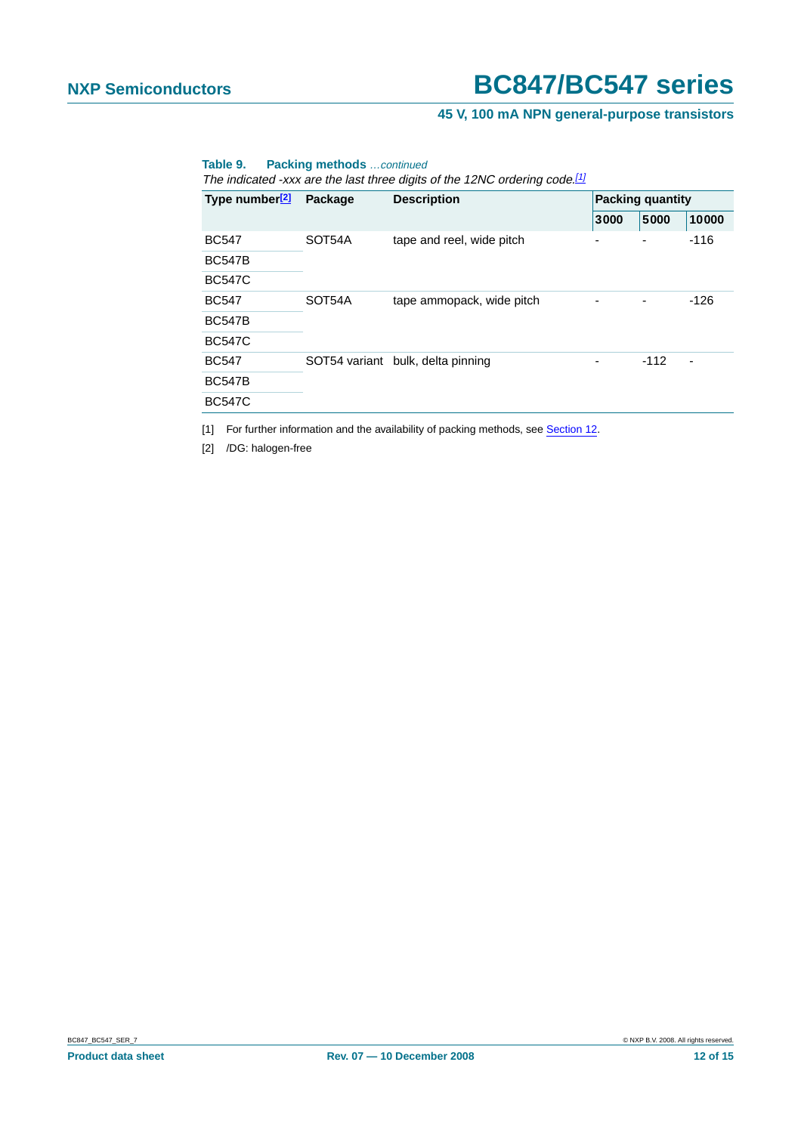#### **45 V, 100 mA NPN general-purpose transistors**

#### **Table 9. Packing methods** …continued

The indicated -xxx are the last three digits of the 12NC ordering code.<sup>[1]</sup>

| Type number <sup>[2]</sup> | Package | <b>Description</b>                | <b>Packing quantity</b> |        |        |  |
|----------------------------|---------|-----------------------------------|-------------------------|--------|--------|--|
|                            |         |                                   | 5000<br>3000            |        | 10000  |  |
| <b>BC547</b>               | SOT54A  | tape and reel, wide pitch         | -                       |        | $-116$ |  |
| <b>BC547B</b>              |         |                                   |                         |        |        |  |
| <b>BC547C</b>              |         |                                   |                         |        |        |  |
| <b>BC547</b>               | SOT54A  | tape ammopack, wide pitch         |                         |        | -126   |  |
| <b>BC547B</b>              |         |                                   |                         |        |        |  |
| <b>BC547C</b>              |         |                                   |                         |        |        |  |
| <b>BC547</b>               |         | SOT54 variant bulk, delta pinning |                         | $-112$ |        |  |
| <b>BC547B</b>              |         |                                   |                         |        |        |  |
| <b>BC547C</b>              |         |                                   |                         |        |        |  |

<span id="page-11-0"></span>[1] For further information and the availability of packing methods, see [Section](#page-13-0) 12.

<span id="page-11-1"></span>[2] /DG: halogen-free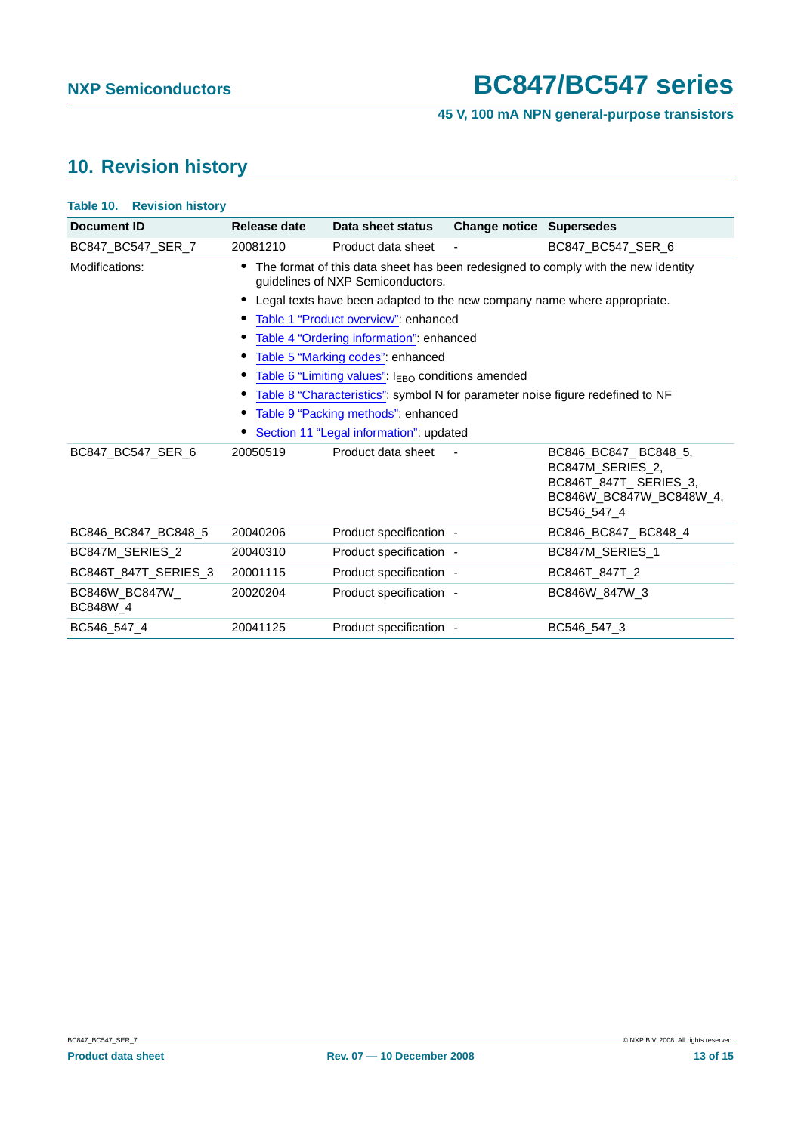### **45 V, 100 mA NPN general-purpose transistors**

# <span id="page-12-0"></span>**10. Revision history**

| <b>Table 10. Revision history</b> |                                                                                                                        |                         |                                 |                                                                                                             |  |
|-----------------------------------|------------------------------------------------------------------------------------------------------------------------|-------------------------|---------------------------------|-------------------------------------------------------------------------------------------------------------|--|
| Document ID                       | Release date                                                                                                           | Data sheet status       | <b>Change notice Supersedes</b> |                                                                                                             |  |
| BC847_BC547_SER_7                 | 20081210                                                                                                               | Product data sheet      |                                 | BC847 BC547 SER 6                                                                                           |  |
| Modifications:                    | The format of this data sheet has been redesigned to comply with the new identity<br>guidelines of NXP Semiconductors. |                         |                                 |                                                                                                             |  |
|                                   | Legal texts have been adapted to the new company name where appropriate.                                               |                         |                                 |                                                                                                             |  |
|                                   | Table 1 "Product overview": enhanced                                                                                   |                         |                                 |                                                                                                             |  |
|                                   | Table 4 "Ordering information": enhanced                                                                               |                         |                                 |                                                                                                             |  |
|                                   | Table 5 "Marking codes": enhanced                                                                                      |                         |                                 |                                                                                                             |  |
|                                   | Table 6 "Limiting values": I <sub>EBO</sub> conditions amended                                                         |                         |                                 |                                                                                                             |  |
|                                   | Table 8 "Characteristics": symbol N for parameter noise figure redefined to NF                                         |                         |                                 |                                                                                                             |  |
|                                   | Table 9 "Packing methods": enhanced                                                                                    |                         |                                 |                                                                                                             |  |
|                                   | Section 11 "Legal information": updated                                                                                |                         |                                 |                                                                                                             |  |
| BC847_BC547_SER_6                 | 20050519                                                                                                               | Product data sheet      |                                 | BC846_BC847_BC848_5,<br>BC847M SERIES 2,<br>BC846T_847T_SERIES_3,<br>BC846W_BC847W_BC848W_4,<br>BC546 547 4 |  |
| BC846 BC847 BC848 5               | 20040206                                                                                                               | Product specification - |                                 | BC846 BC847 BC848 4                                                                                         |  |
| BC847M_SERIES_2                   | 20040310                                                                                                               | Product specification - |                                 | BC847M_SERIES_1                                                                                             |  |
| BC846T_847T_SERIES_3              | 20001115                                                                                                               | Product specification - |                                 | BC846T_847T_2                                                                                               |  |
| BC846W_BC847W_<br>BC848W 4        | 20020204                                                                                                               | Product specification - |                                 | BC846W 847W 3                                                                                               |  |
| BC546 547 4                       | 20041125                                                                                                               | Product specification - |                                 | BC546 547 3                                                                                                 |  |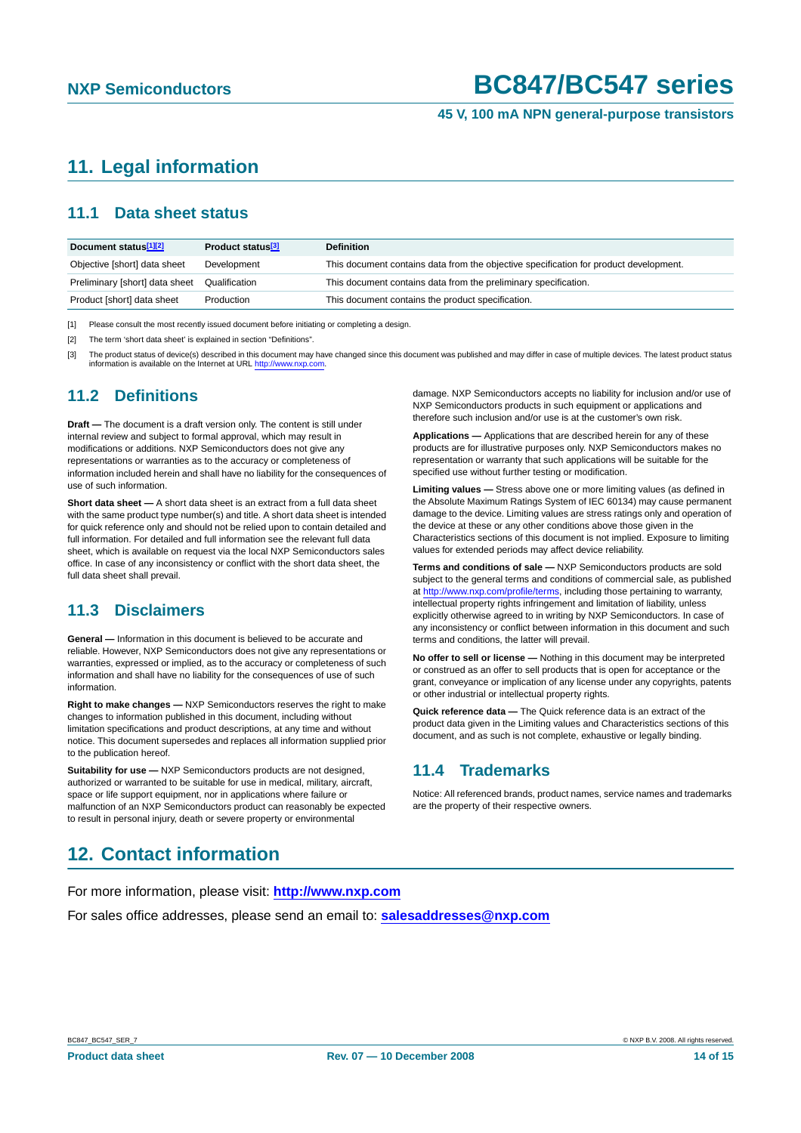#### **45 V, 100 mA NPN general-purpose transistors**

# <span id="page-13-1"></span>**11. Legal information**

### <span id="page-13-2"></span>**11.1 Data sheet status**

| Document status <sup>[1][2]</sup> | Product status <sup>[3]</sup> | <b>Definition</b>                                                                     |
|-----------------------------------|-------------------------------|---------------------------------------------------------------------------------------|
| Objective [short] data sheet      | Development                   | This document contains data from the objective specification for product development. |
| Preliminary [short] data sheet    | Qualification                 | This document contains data from the preliminary specification.                       |
| Product [short] data sheet        | Production                    | This document contains the product specification.                                     |

[1] Please consult the most recently issued document before initiating or completing a design.

[2] The term 'short data sheet' is explained in section "Definitions".

[3] The product status of device(s) described in this document may have changed since this document was published and may differ in case of multiple devices. The latest product status information is available on the Internet at URL <http://www.nxp.com>.

#### <span id="page-13-3"></span>**11.2 Definitions**

**Draft —** The document is a draft version only. The content is still under internal review and subject to formal approval, which may result in modifications or additions. NXP Semiconductors does not give any representations or warranties as to the accuracy or completeness of information included herein and shall have no liability for the consequences of use of such information.

**Short data sheet —** A short data sheet is an extract from a full data sheet with the same product type number(s) and title. A short data sheet is intended for quick reference only and should not be relied upon to contain detailed and full information. For detailed and full information see the relevant full data sheet, which is available on request via the local NXP Semiconductors sales office. In case of any inconsistency or conflict with the short data sheet, the full data sheet shall prevail.

### <span id="page-13-4"></span>**11.3 Disclaimers**

**General —** Information in this document is believed to be accurate and reliable. However, NXP Semiconductors does not give any representations or warranties, expressed or implied, as to the accuracy or completeness of such information and shall have no liability for the consequences of use of such information.

**Right to make changes —** NXP Semiconductors reserves the right to make changes to information published in this document, including without limitation specifications and product descriptions, at any time and without notice. This document supersedes and replaces all information supplied prior to the publication hereof.

**Suitability for use - NXP** Semiconductors products are not designed, authorized or warranted to be suitable for use in medical, military, aircraft, space or life support equipment, nor in applications where failure or malfunction of an NXP Semiconductors product can reasonably be expected to result in personal injury, death or severe property or environmental

#### damage. NXP Semiconductors accepts no liability for inclusion and/or use of NXP Semiconductors products in such equipment or applications and therefore such inclusion and/or use is at the customer's own risk.

**Applications —** Applications that are described herein for any of these products are for illustrative purposes only. NXP Semiconductors makes no representation or warranty that such applications will be suitable for the specified use without further testing or modification.

**Limiting values —** Stress above one or more limiting values (as defined in the Absolute Maximum Ratings System of IEC 60134) may cause permanent damage to the device. Limiting values are stress ratings only and operation of the device at these or any other conditions above those given in the Characteristics sections of this document is not implied. Exposure to limiting values for extended periods may affect device reliability.

**Terms and conditions of sale —** NXP Semiconductors products are sold subject to the general terms and conditions of commercial sale, as published at <http://www.nxp.com/profile/terms>, including those pertaining to warranty, intellectual property rights infringement and limitation of liability, unless explicitly otherwise agreed to in writing by NXP Semiconductors. In case of any inconsistency or conflict between information in this document and such terms and conditions, the latter will prevail.

**No offer to sell or license —** Nothing in this document may be interpreted or construed as an offer to sell products that is open for acceptance or the grant, conveyance or implication of any license under any copyrights, patents or other industrial or intellectual property rights.

**Quick reference data —** The Quick reference data is an extract of the product data given in the Limiting values and Characteristics sections of this document, and as such is not complete, exhaustive or legally binding.

### <span id="page-13-5"></span>**11.4 Trademarks**

Notice: All referenced brands, product names, service names and trademarks are the property of their respective owners.

### <span id="page-13-0"></span>**12. Contact information**

For more information, please visit: **http://www.nxp.com**

For sales office addresses, please send an email to: **salesaddresses@nxp.com**